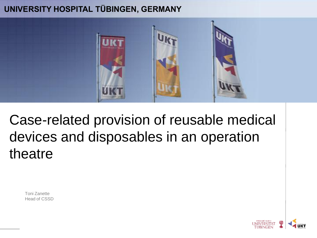#### **UNIVERSITY HOSPITAL TÜBINGEN, GERMANY**



### Case-related provision of reusable medical devices and disposables in an operation theatre

Toni Zanette Head of CSSD

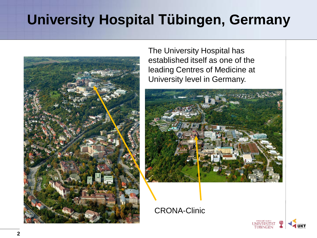## **University Hospital Tübingen, Germany**



The University Hospital has established itself as one of the leading Centres of Medicine at University level in Germany.



CRONA-Clinic

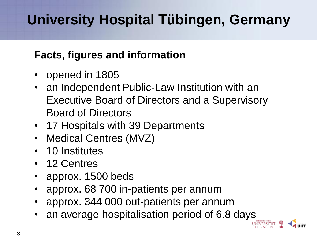# **University Hospital Tübingen, Germany**

#### **Facts, figures and information**

- opened in 1805
- an Independent Public-Law Institution with an Executive Board of Directors and a Supervisory Board of Directors
- 17 Hospitals with 39 Departments
- Medical Centres (MVZ)
- 10 Institutes
- 12 Centres
- approx. 1500 beds
- approx. 68 700 in-patients per annum
- approx. 344 000 out-patients per annum
- an average hospitalisation period of 6.8 days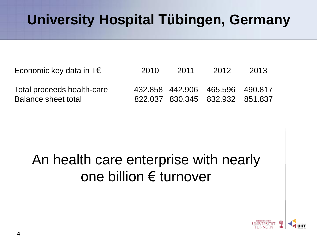### **University Hospital Tübingen, Germany**

| Economic key data in $T\epsilon$                         | 2010 | 2011 | 2012                                                               | 2013 |
|----------------------------------------------------------|------|------|--------------------------------------------------------------------|------|
| Total proceeds health-care<br><b>Balance sheet total</b> |      |      | 432.858 442.906 465.596 490.817<br>822.037 830.345 832.932 851.837 |      |

### An health care enterprise with nearly one billion € turnover

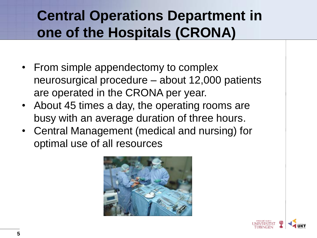## **Central Operations Department in one of the Hospitals (CRONA)**

- From simple appendectomy to complex neurosurgical procedure – about 12,000 patients are operated in the CRONA per year.
- About 45 times a day, the operating rooms are busy with an average duration of three hours.
- Central Management (medical and nursing) for optimal use of all resources



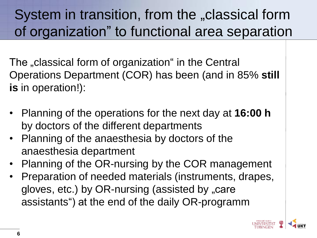The "classical form of organization" in the Central Operations Department (COR) has been (and in 85% **still is** in operation!):

- Planning of the operations for the next day at **16:00 h** by doctors of the different departments
- Planning of the anaesthesia by doctors of the anaesthesia department
- Planning of the OR-nursing by the COR management
- Preparation of needed materials (instruments, drapes, gloves, etc.) by OR-nursing (assisted by "care assistants") at the end of the daily OR-programm

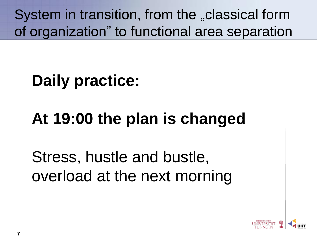# **Daily practice:**

# **At 19:00 the plan is changed**

Stress, hustle and bustle, overload at the next morning

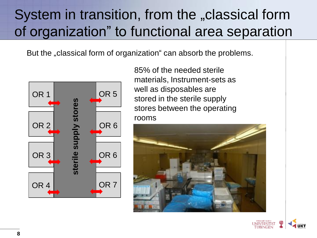But the "classical form of organization" can absorb the problems.



85% of the needed sterile materials, Instrument-sets as well as disposables are stored in the sterile supply stores between the operating rooms



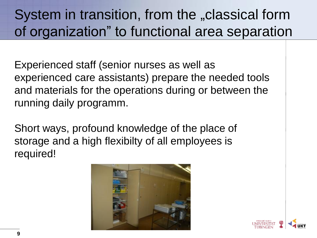Experienced staff (senior nurses as well as experienced care assistants) prepare the needed tools and materials for the operations during or between the running daily programm.

Short ways, profound knowledge of the place of storage and a high flexibilty of all employees is required!



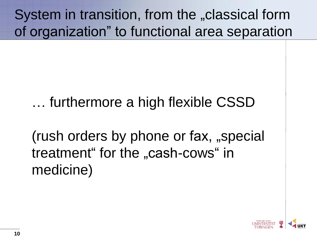## … furthermore a high flexible CSSD

(rush orders by phone or fax, "special treatment" for the "cash-cows" in medicine)

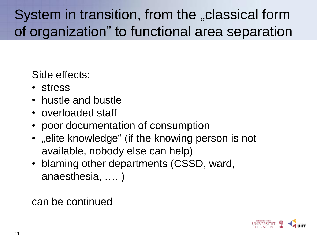Side effects:

- stress
- hustle and bustle
- overloaded staff
- poor documentation of consumption
- "elite knowledge" (if the knowing person is not available, nobody else can help)
- blaming other departments (CSSD, ward, anaesthesia, …. )

can be continued

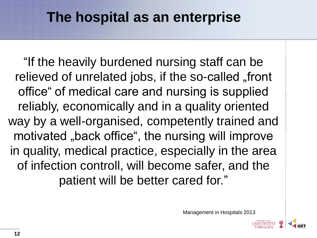### **The hospital as an enterprise**

"If the heavily burdened nursing staff can be relieved of unrelated jobs, if the so-called "front office" of medical care and nursing is supplied reliably, economically and in a quality oriented way by a well-organised, competently trained and motivated "back office", the nursing will improve in quality, medical practice, especially in the area of infection controll, will become safer, and the patient will be better cared for."

Management in Hospitals 2013

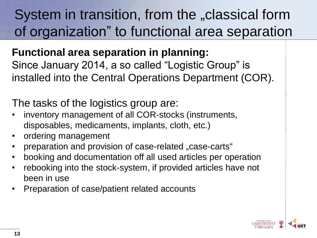#### **Functional area separation in planning:**

Since January 2014, a so called "Logistic Group" is installed into the Central Operations Department (COR).

The tasks of the logistics group are:

- inventory management of all COR-stocks (instruments, disposables, medicaments, implants, cloth, etc.)
- ordering management
- preparation and provision of case-related "case-carts"
- booking and documentation off all used articles per operation
- rebooking into the stock-system, if provided articles have not been in use
- Preparation of case/patient related accounts

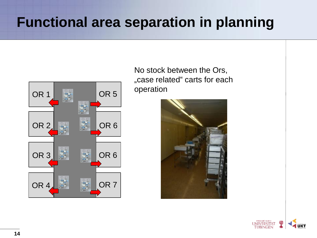### **Functional area separation in planning**



No stock between the Ors, "case related" carts for each operation



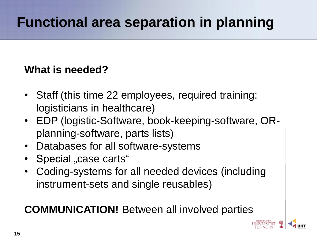## **Functional area separation in planning**

#### **What is needed?**

- Staff (this time 22 employees, required training: logisticians in healthcare)
- EDP (logistic-Software, book-keeping-software, ORplanning-software, parts lists)
- Databases for all software-systems
- Special "case carts"
- Coding-systems for all needed devices (including instrument-sets and single reusables)

#### **COMMUNICATION!** Between all involved parties

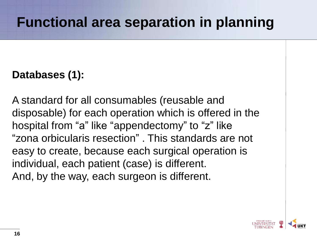#### **Databases (1):**

A standard for all consumables (reusable and disposable) for each operation which is offered in the hospital from "a" like "appendectomy" to "z" like "zona orbicularis resection" . This standards are not easy to create, because each surgical operation is individual, each patient (case) is different. And, by the way, each surgeon is different.

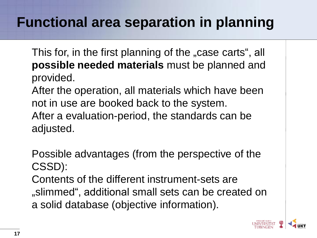## **Functional area separation in planning**

This for, in the first planning of the "case carts", all **possible needed materials** must be planned and provided.

After the operation, all materials which have been not in use are booked back to the system. After a evaluation-period, the standards can be adjusted.

Possible advantages (from the perspective of the CSSD):

Contents of the different instrument-sets are "slimmed", additional small sets can be created on a solid database (objective information).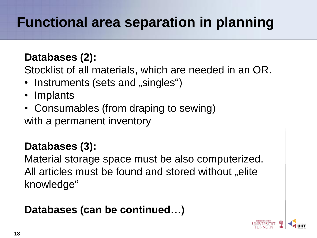# **Functional area separation in planning**

#### **Databases (2):**

Stocklist of all materials, which are needed in an OR.

- Instruments (sets and "singles")
- Implants
- Consumables (from draping to sewing) with a permanent inventory

#### **Databases (3):**

Material storage space must be also computerized. All articles must be found and stored without "elite knowledge"

#### **Databases (can be continued…)**

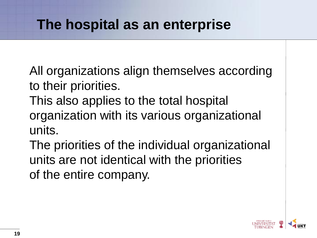All organizations align themselves according to their priorities.

This also applies to the total hospital organization with its various organizational units.

The priorities of the individual organizational units are not identical with the priorities of the entire company.

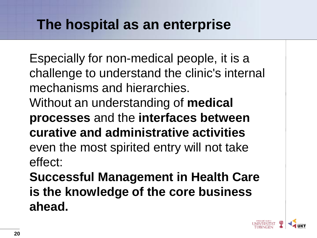Especially for non-medical people, it is a challenge to understand the clinic's internal mechanisms and hierarchies. Without an understanding of **medical processes** and the **interfaces between curative and administrative activities**  even the most spirited entry will not take effect:

**Successful Management in Health Care is the knowledge of the core business ahead.**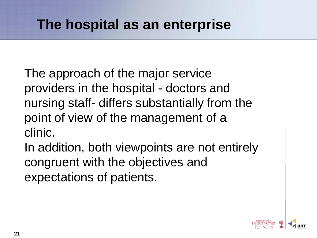The approach of the major service providers in the hospital - doctors and nursing staff- differs substantially from the point of view of the management of a clinic.

In addition, both viewpoints are not entirely congruent with the objectives and expectations of patients.

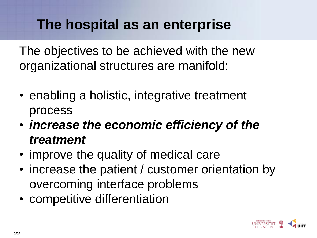### **The hospital as an enterprise**

The objectives to be achieved with the new organizational structures are manifold:

- enabling a holistic, integrative treatment process
- *increase the economic efficiency of the treatment*
- improve the quality of medical care
- increase the patient / customer orientation by overcoming interface problems
- competitive differentiation

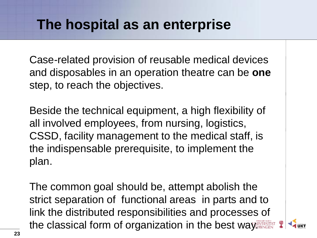### **The hospital as an enterprise**

Case-related provision of reusable medical devices and disposables in an operation theatre can be **one** step, to reach the objectives.

Beside the technical equipment, a high flexibility of all involved employees, from nursing, logistics, CSSD, facility management to the medical staff, is the indispensable prerequisite, to implement the plan.

The common goal should be, attempt abolish the strict separation of functional areas in parts and to link the distributed responsibilities and processes of the classical form of organization in the best way.